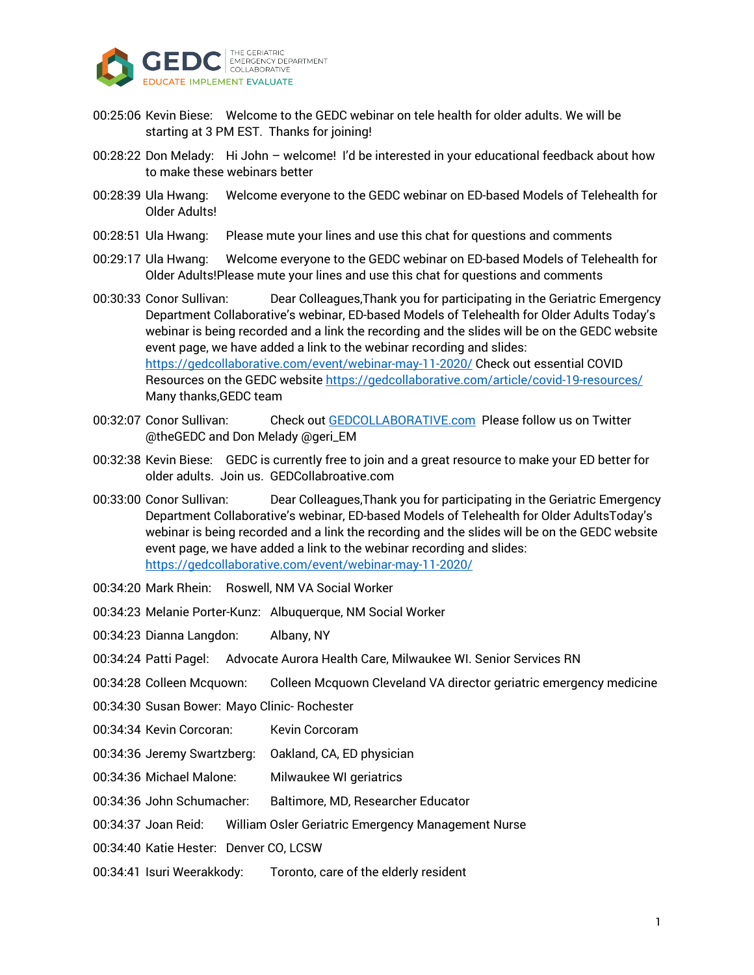

- 00:25:06 Kevin Biese: Welcome to the GEDC webinar on tele health for older adults. We will be starting at 3 PM EST. Thanks for joining!
- 00:28:22 Don Melady: Hi John welcome! I'd be interested in your educational feedback about how to make these webinars better
- 00:28:39 Ula Hwang: Welcome everyone to the GEDC webinar on ED-based Models of Telehealth for Older Adults!
- 00:28:51 Ula Hwang: Please mute your lines and use this chat for questions and comments
- 00:29:17 Ula Hwang: Welcome everyone to the GEDC webinar on ED-based Models of Telehealth for Older Adults!Please mute your lines and use this chat for questions and comments
- 00:30:33 Conor Sullivan: Dear Colleagues,Thank you for participating in the Geriatric Emergency Department Collaborative's webinar, ED-based Models of Telehealth for Older Adults Today's webinar is being recorded and a link the recording and the slides will be on the GEDC website event page, we have added a link to the webinar recording and slides: https://gedcollaborative.com/event/webinar-may-11-2020/ Check out essential COVID Resources on the GEDC website https://gedcollaborative.com/article/covid-19-resources/ Many thanks,GEDC team
- 00:32:07 Conor Sullivan: Check out GEDCOLLABORATIVE.com Please follow us on Twitter @theGEDC and Don Melady @geri\_EM
- 00:32:38 Kevin Biese: GEDC is currently free to join and a great resource to make your ED better for older adults. Join us. GEDCollabroative.com
- 00:33:00 Conor Sullivan: Dear Colleagues,Thank you for participating in the Geriatric Emergency Department Collaborative's webinar, ED-based Models of Telehealth for Older AdultsToday's webinar is being recorded and a link the recording and the slides will be on the GEDC website event page, we have added a link to the webinar recording and slides: https://gedcollaborative.com/event/webinar-may-11-2020/
- 00:34:20 Mark Rhein: Roswell, NM VA Social Worker
- 00:34:23 Melanie Porter-Kunz: Albuquerque, NM Social Worker
- 00:34:23 Dianna Langdon: Albany, NY
- 00:34:24 Patti Pagel: Advocate Aurora Health Care, Milwaukee WI. Senior Services RN
- 00:34:28 Colleen Mcquown: Colleen Mcquown Cleveland VA director geriatric emergency medicine
- 00:34:30 Susan Bower: Mayo Clinic- Rochester
- 00:34:34 Kevin Corcoran: Kevin Corcoram
- 00:34:36 Jeremy Swartzberg: Oakland, CA, ED physician
- 00:34:36 Michael Malone: Milwaukee WI geriatrics
- 00:34:36 John Schumacher: Baltimore, MD, Researcher Educator
- 00:34:37 Joan Reid: William Osler Geriatric Emergency Management Nurse
- 00:34:40 Katie Hester: Denver CO, LCSW
- 00:34:41 Isuri Weerakkody: Toronto, care of the elderly resident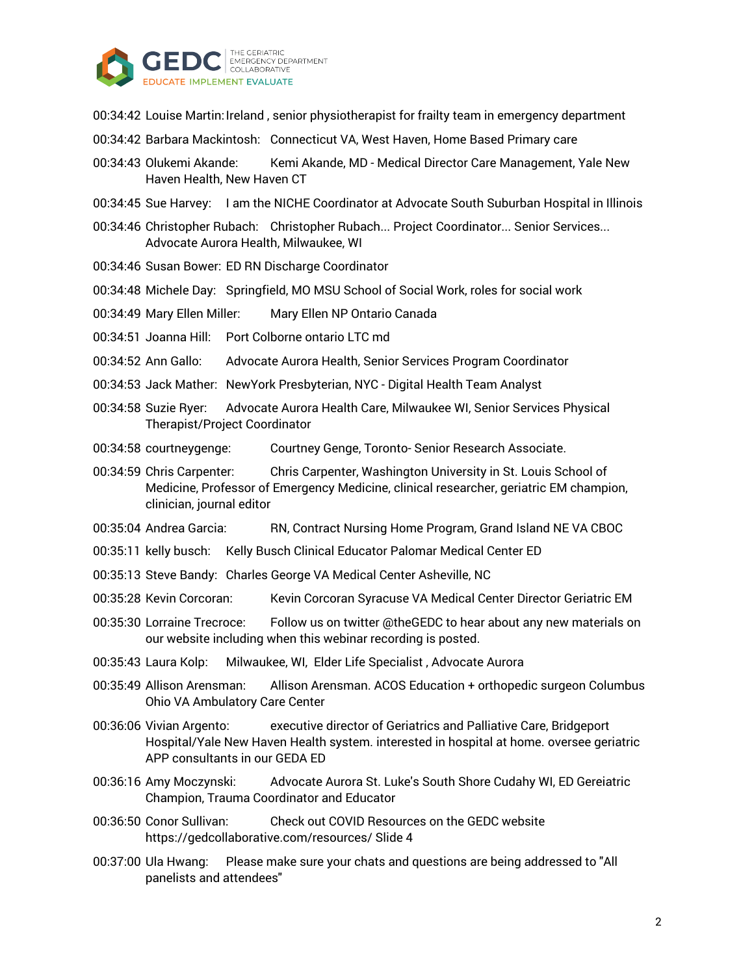

- 00:34:42 Louise Martin: Ireland, senior physiotherapist for frailty team in emergency department
- 00:34:42 Barbara Mackintosh: Connecticut VA, West Haven, Home Based Primary care
- 00:34:43 Olukemi Akande: Kemi Akande, MD Medical Director Care Management, Yale New Haven Health, New Haven CT
- 00:34:45 Sue Harvey: I am the NICHE Coordinator at Advocate South Suburban Hospital in Illinois
- 00:34:46 Christopher Rubach: Christopher Rubach... Project Coordinator... Senior Services... Advocate Aurora Health, Milwaukee, WI
- 00:34:46 Susan Bower: ED RN Discharge Coordinator
- 00:34:48 Michele Day: Springfield, MO MSU School of Social Work, roles for social work
- 00:34:49 Mary Ellen Miller: Mary Ellen NP Ontario Canada
- 00:34:51 Joanna Hill: Port Colborne ontario LTC md
- 00:34:52 Ann Gallo: Advocate Aurora Health, Senior Services Program Coordinator
- 00:34:53 Jack Mather: NewYork Presbyterian, NYC Digital Health Team Analyst
- 00:34:58 Suzie Ryer: Advocate Aurora Health Care, Milwaukee WI, Senior Services Physical Therapist/Project Coordinator
- 00:34:58 courtneygenge: Courtney Genge, Toronto- Senior Research Associate.
- 00:34:59 Chris Carpenter: Chris Carpenter, Washington University in St. Louis School of Medicine, Professor of Emergency Medicine, clinical researcher, geriatric EM champion, clinician, journal editor
- 00:35:04 Andrea Garcia: RN, Contract Nursing Home Program, Grand Island NE VA CBOC
- 00:35:11 kelly busch: Kelly Busch Clinical Educator Palomar Medical Center ED
- 00:35:13 Steve Bandy: Charles George VA Medical Center Asheville, NC
- 00:35:28 Kevin Corcoran: Kevin Corcoran Syracuse VA Medical Center Director Geriatric EM
- 00:35:30 Lorraine Trecroce: Follow us on twitter @theGEDC to hear about any new materials on our website including when this webinar recording is posted.
- 00:35:43 Laura Kolp: Milwaukee, WI, Elder Life Specialist , Advocate Aurora
- 00:35:49 Allison Arensman: Allison Arensman. ACOS Education + orthopedic surgeon Columbus Ohio VA Ambulatory Care Center
- 00:36:06 Vivian Argento: executive director of Geriatrics and Palliative Care, Bridgeport Hospital/Yale New Haven Health system. interested in hospital at home. oversee geriatric APP consultants in our GEDA ED
- 00:36:16 Amy Moczynski: Advocate Aurora St. Luke's South Shore Cudahy WI, ED Gereiatric Champion, Trauma Coordinator and Educator
- 00:36:50 Conor Sullivan: Check out COVID Resources on the GEDC website https://gedcollaborative.com/resources/ Slide 4
- 00:37:00 Ula Hwang: Please make sure your chats and questions are being addressed to "All panelists and attendees"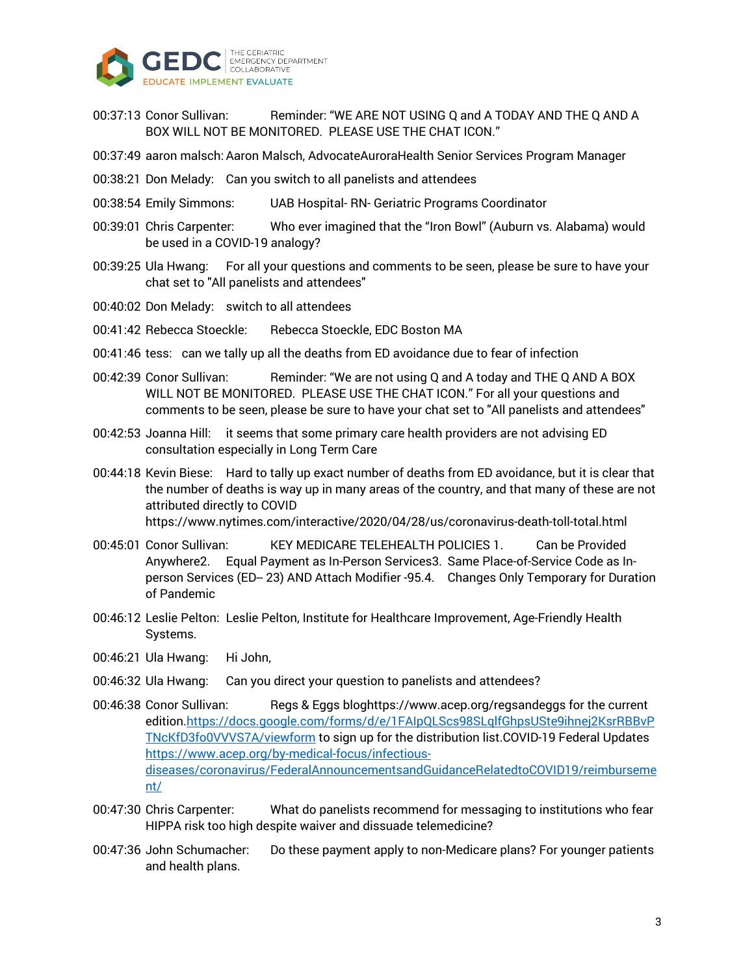

- 00:37:13 Conor Sullivan: Reminder: "WE ARE NOT USING Q and A TODAY AND THE Q AND A BOX WILL NOT BE MONITORED. PLEASE USE THE CHAT ICON."
- 00:37:49 aaron malsch: Aaron Malsch, AdvocateAuroraHealth Senior Services Program Manager
- 00:38:21 Don Melady: Can you switch to all panelists and attendees
- 00:38:54 Emily Simmons: UAB Hospital- RN- Geriatric Programs Coordinator
- 00:39:01 Chris Carpenter: Who ever imagined that the "Iron Bowl" (Auburn vs. Alabama) would be used in a COVID-19 analogy?
- 00:39:25 Ula Hwang: For all your questions and comments to be seen, please be sure to have your chat set to "All panelists and attendees"
- 00:40:02 Don Melady: switch to all attendees
- 00:41:42 Rebecca Stoeckle: Rebecca Stoeckle, EDC Boston MA
- 00:41:46 tess: can we tally up all the deaths from ED avoidance due to fear of infection
- 00:42:39 Conor Sullivan: Reminder: "We are not using Q and A today and THE Q AND A BOX WILL NOT BE MONITORED. PLEASE USE THE CHAT ICON." For all your questions and comments to be seen, please be sure to have your chat set to "All panelists and attendees"
- 00:42:53 Joanna Hill: it seems that some primary care health providers are not advising ED consultation especially in Long Term Care
- 00:44:18 Kevin Biese: Hard to tally up exact number of deaths from ED avoidance, but it is clear that the number of deaths is way up in many areas of the country, and that many of these are not attributed directly to COVID https://www.nytimes.com/interactive/2020/04/28/us/coronavirus-death-toll-total.html
- 00:45:01 Conor Sullivan: KEY MEDICARE TELEHEALTH POLICIES 1. Can be Provided Anywhere2. Equal Payment as In-Person Services3. Same Place-of-Service Code as Inperson Services (ED-- 23) AND Attach Modifier -95.4. Changes Only Temporary for Duration of Pandemic
- 00:46:12 Leslie Pelton: Leslie Pelton, Institute for Healthcare Improvement, Age-Friendly Health Systems.
- 00:46:21 Ula Hwang: Hi John,
- 00:46:32 Ula Hwang: Can you direct your question to panelists and attendees?
- 00:46:38 Conor Sullivan: Regs & Eggs bloghttps://www.acep.org/regsandeggs for the current edition.https://docs.google.com/forms/d/e/1FAIpQLScs98SLqlfGhpsUSte9ihnej2KsrRBBvP TNcKfD3fo0VVVS7A/viewform to sign up for the distribution list.COVID-19 Federal Updates https://www.acep.org/by-medical-focus/infectiousdiseases/coronavirus/FederalAnnouncementsandGuidanceRelatedtoCOVID19/reimburseme nt/
- 00:47:30 Chris Carpenter: What do panelists recommend for messaging to institutions who fear HIPPA risk too high despite waiver and dissuade telemedicine?
- 00:47:36 John Schumacher: Do these payment apply to non-Medicare plans? For younger patients and health plans.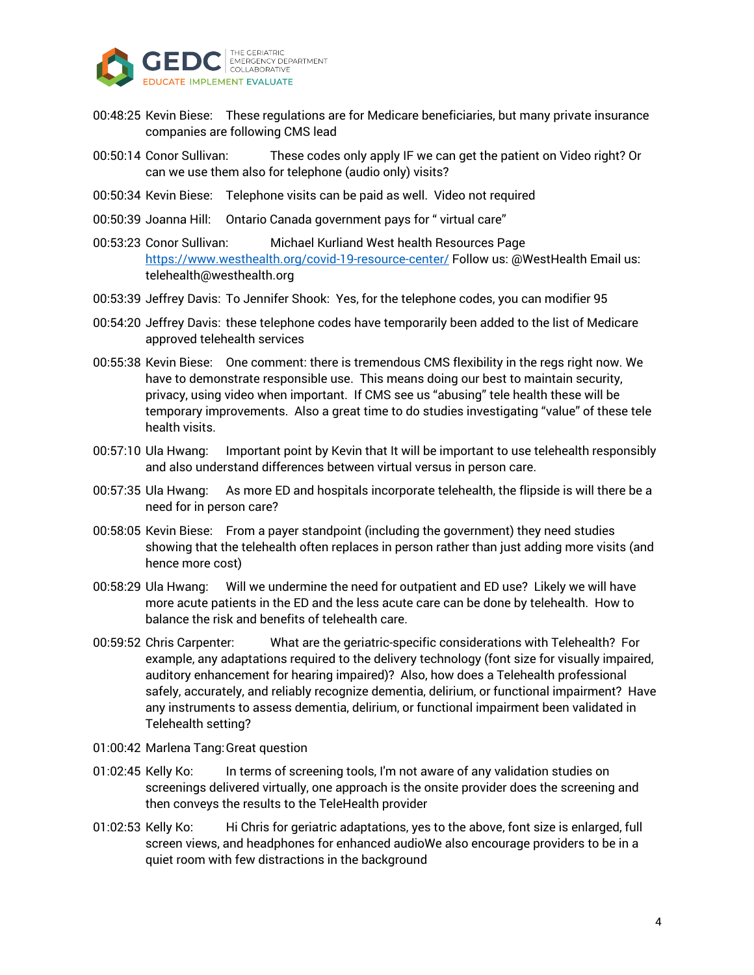

- 00:48:25 Kevin Biese: These regulations are for Medicare beneficiaries, but many private insurance companies are following CMS lead
- 00:50:14 Conor Sullivan: These codes only apply IF we can get the patient on Video right? Or can we use them also for telephone (audio only) visits?
- 00:50:34 Kevin Biese: Telephone visits can be paid as well. Video not required
- 00:50:39 Joanna Hill: Ontario Canada government pays for " virtual care"
- 00:53:23 Conor Sullivan: Michael Kurliand West health Resources Page https://www.westhealth.org/covid-19-resource-center/ Follow us: @WestHealth Email us: telehealth@westhealth.org
- 00:53:39 Jeffrey Davis: To Jennifer Shook: Yes, for the telephone codes, you can modifier 95
- 00:54:20 Jeffrey Davis: these telephone codes have temporarily been added to the list of Medicare approved telehealth services
- 00:55:38 Kevin Biese: One comment: there is tremendous CMS flexibility in the regs right now. We have to demonstrate responsible use. This means doing our best to maintain security, privacy, using video when important. If CMS see us "abusing" tele health these will be temporary improvements. Also a great time to do studies investigating "value" of these tele health visits.
- 00:57:10 Ula Hwang: Important point by Kevin that It will be important to use telehealth responsibly and also understand differences between virtual versus in person care.
- 00:57:35 Ula Hwang: As more ED and hospitals incorporate telehealth, the flipside is will there be a need for in person care?
- 00:58:05 Kevin Biese: From a payer standpoint (including the government) they need studies showing that the telehealth often replaces in person rather than just adding more visits (and hence more cost)
- 00:58:29 Ula Hwang: Will we undermine the need for outpatient and ED use? Likely we will have more acute patients in the ED and the less acute care can be done by telehealth. How to balance the risk and benefits of telehealth care.
- 00:59:52 Chris Carpenter: What are the geriatric-specific considerations with Telehealth? For example, any adaptations required to the delivery technology (font size for visually impaired, auditory enhancement for hearing impaired)? Also, how does a Telehealth professional safely, accurately, and reliably recognize dementia, delirium, or functional impairment? Have any instruments to assess dementia, delirium, or functional impairment been validated in Telehealth setting?
- 01:00:42 Marlena Tang:Great question
- 01:02:45 Kelly Ko: In terms of screening tools, I'm not aware of any validation studies on screenings delivered virtually, one approach is the onsite provider does the screening and then conveys the results to the TeleHealth provider
- 01:02:53 Kelly Ko: Hi Chris for geriatric adaptations, yes to the above, font size is enlarged, full screen views, and headphones for enhanced audioWe also encourage providers to be in a quiet room with few distractions in the background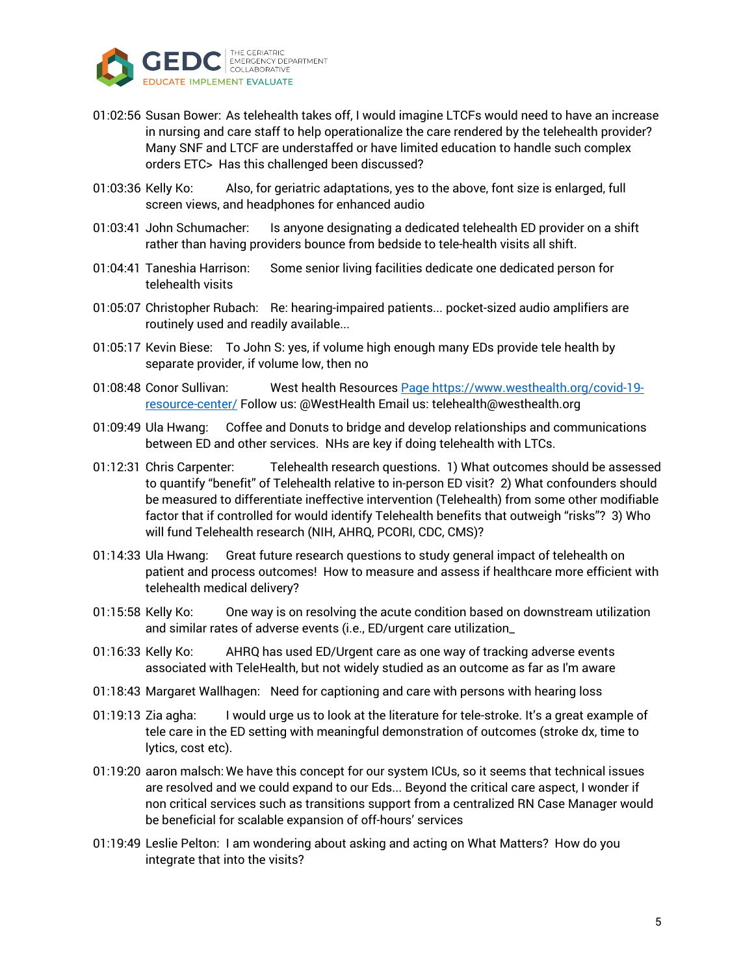

- 01:02:56 Susan Bower: As telehealth takes off, I would imagine LTCFs would need to have an increase in nursing and care staff to help operationalize the care rendered by the telehealth provider? Many SNF and LTCF are understaffed or have limited education to handle such complex orders ETC> Has this challenged been discussed?
- 01:03:36 Kelly Ko: Also, for geriatric adaptations, yes to the above, font size is enlarged, full screen views, and headphones for enhanced audio
- 01:03:41 John Schumacher: Is anyone designating a dedicated telehealth ED provider on a shift rather than having providers bounce from bedside to tele-health visits all shift.
- 01:04:41 Taneshia Harrison: Some senior living facilities dedicate one dedicated person for telehealth visits
- 01:05:07 Christopher Rubach: Re: hearing-impaired patients... pocket-sized audio amplifiers are routinely used and readily available...
- 01:05:17 Kevin Biese: To John S: yes, if volume high enough many EDs provide tele health by separate provider, if volume low, then no
- 01:08:48 Conor Sullivan: West health Resources Page https://www.westhealth.org/covid-19 resource-center/ Follow us: @WestHealth Email us: telehealth@westhealth.org
- 01:09:49 Ula Hwang: Coffee and Donuts to bridge and develop relationships and communications between ED and other services. NHs are key if doing telehealth with LTCs.
- 01:12:31 Chris Carpenter: Telehealth research questions. 1) What outcomes should be assessed to quantify "benefit" of Telehealth relative to in-person ED visit? 2) What confounders should be measured to differentiate ineffective intervention (Telehealth) from some other modifiable factor that if controlled for would identify Telehealth benefits that outweigh "risks"? 3) Who will fund Telehealth research (NIH, AHRQ, PCORI, CDC, CMS)?
- 01:14:33 Ula Hwang: Great future research questions to study general impact of telehealth on patient and process outcomes! How to measure and assess if healthcare more efficient with telehealth medical delivery?
- 01:15:58 Kelly Ko: One way is on resolving the acute condition based on downstream utilization and similar rates of adverse events (i.e., ED/urgent care utilization\_
- 01:16:33 Kelly Ko: AHRQ has used ED/Urgent care as one way of tracking adverse events associated with TeleHealth, but not widely studied as an outcome as far as I'm aware
- 01:18:43 Margaret Wallhagen: Need for captioning and care with persons with hearing loss
- 01:19:13 Zia agha: I would urge us to look at the literature for tele-stroke. It's a great example of tele care in the ED setting with meaningful demonstration of outcomes (stroke dx, time to lytics, cost etc).
- 01:19:20 aaron malsch: We have this concept for our system ICUs, so it seems that technical issues are resolved and we could expand to our Eds... Beyond the critical care aspect, I wonder if non critical services such as transitions support from a centralized RN Case Manager would be beneficial for scalable expansion of off-hours' services
- 01:19:49 Leslie Pelton: I am wondering about asking and acting on What Matters? How do you integrate that into the visits?